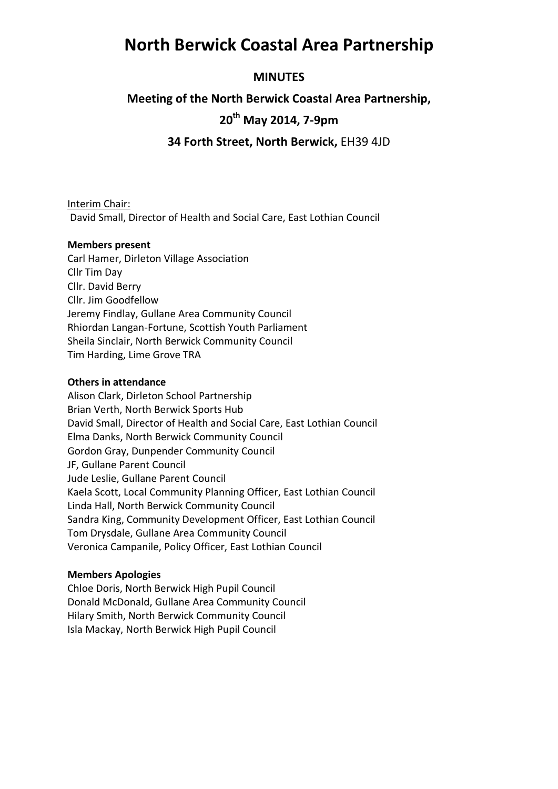### **North Berwick Coastal Area Partnership**

### **MINUTES**

### **Meeting of the North Berwick Coastal Area Partnership,**

### **20th May 2014, 7-9pm**

**34 Forth Street, North Berwick,** EH39 4JD

#### Interim Chair:

David Small, Director of Health and Social Care, East Lothian Council

#### **Members present**

Carl Hamer, Dirleton Village Association Cllr Tim Day Cllr. David Berry Cllr. Jim Goodfellow Jeremy Findlay, Gullane Area Community Council Rhiordan Langan-Fortune, Scottish Youth Parliament Sheila Sinclair, North Berwick Community Council Tim Harding, Lime Grove TRA

#### **Others in attendance**

Alison Clark, Dirleton School Partnership Brian Verth, North Berwick Sports Hub David Small, Director of Health and Social Care, East Lothian Council Elma Danks, North Berwick Community Council Gordon Gray, Dunpender Community Council JF, Gullane Parent Council Jude Leslie, Gullane Parent Council Kaela Scott, Local Community Planning Officer, East Lothian Council Linda Hall, North Berwick Community Council Sandra King, Community Development Officer, East Lothian Council Tom Drysdale, Gullane Area Community Council Veronica Campanile, Policy Officer, East Lothian Council

#### **Members Apologies**

Chloe Doris, North Berwick High Pupil Council Donald McDonald, Gullane Area Community Council Hilary Smith, North Berwick Community Council Isla Mackay, North Berwick High Pupil Council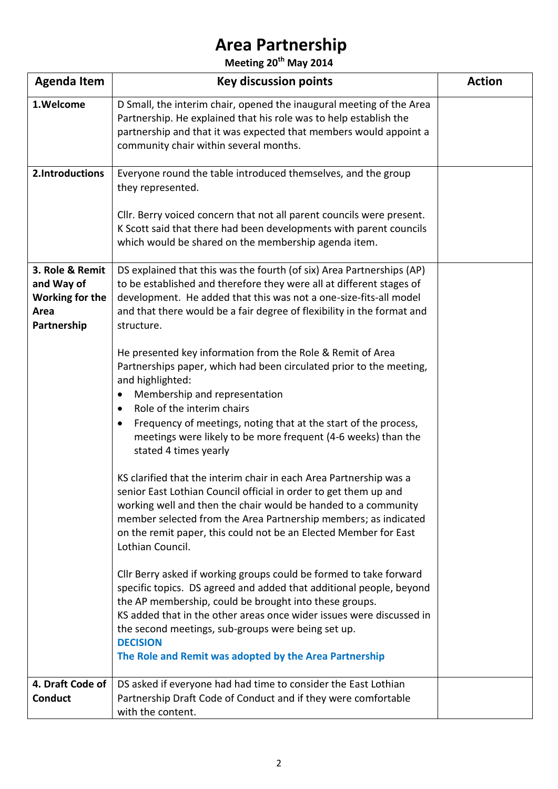**Meeting 20th May 2014**

| <b>Agenda Item</b>                                                             | <b>Key discussion points</b>                                                                                                                                                                                                                                                                                                                                                                                                                                                                                                                                                                                                                                                                                                                                                                                                                                                                                                                                                                                                                                                                                                                                                                                                                                                                                                                                                                                                                                                                                    | <b>Action</b> |
|--------------------------------------------------------------------------------|-----------------------------------------------------------------------------------------------------------------------------------------------------------------------------------------------------------------------------------------------------------------------------------------------------------------------------------------------------------------------------------------------------------------------------------------------------------------------------------------------------------------------------------------------------------------------------------------------------------------------------------------------------------------------------------------------------------------------------------------------------------------------------------------------------------------------------------------------------------------------------------------------------------------------------------------------------------------------------------------------------------------------------------------------------------------------------------------------------------------------------------------------------------------------------------------------------------------------------------------------------------------------------------------------------------------------------------------------------------------------------------------------------------------------------------------------------------------------------------------------------------------|---------------|
| 1.Welcome                                                                      | D Small, the interim chair, opened the inaugural meeting of the Area<br>Partnership. He explained that his role was to help establish the<br>partnership and that it was expected that members would appoint a<br>community chair within several months.                                                                                                                                                                                                                                                                                                                                                                                                                                                                                                                                                                                                                                                                                                                                                                                                                                                                                                                                                                                                                                                                                                                                                                                                                                                        |               |
| 2.Introductions                                                                | Everyone round the table introduced themselves, and the group<br>they represented.<br>Cllr. Berry voiced concern that not all parent councils were present.<br>K Scott said that there had been developments with parent councils<br>which would be shared on the membership agenda item.                                                                                                                                                                                                                                                                                                                                                                                                                                                                                                                                                                                                                                                                                                                                                                                                                                                                                                                                                                                                                                                                                                                                                                                                                       |               |
| 3. Role & Remit<br>and Way of<br><b>Working for the</b><br>Area<br>Partnership | DS explained that this was the fourth (of six) Area Partnerships (AP)<br>to be established and therefore they were all at different stages of<br>development. He added that this was not a one-size-fits-all model<br>and that there would be a fair degree of flexibility in the format and<br>structure.<br>He presented key information from the Role & Remit of Area<br>Partnerships paper, which had been circulated prior to the meeting,<br>and highlighted:<br>Membership and representation<br>٠<br>Role of the interim chairs<br>$\bullet$<br>Frequency of meetings, noting that at the start of the process,<br>٠<br>meetings were likely to be more frequent (4-6 weeks) than the<br>stated 4 times yearly<br>KS clarified that the interim chair in each Area Partnership was a<br>senior East Lothian Council official in order to get them up and<br>working well and then the chair would be handed to a community<br>member selected from the Area Partnership members; as indicated<br>on the remit paper, this could not be an Elected Member for East<br>Lothian Council.<br>Cllr Berry asked if working groups could be formed to take forward<br>specific topics. DS agreed and added that additional people, beyond<br>the AP membership, could be brought into these groups.<br>KS added that in the other areas once wider issues were discussed in<br>the second meetings, sub-groups were being set up.<br><b>DECISION</b><br>The Role and Remit was adopted by the Area Partnership |               |
| 4. Draft Code of<br><b>Conduct</b>                                             | DS asked if everyone had had time to consider the East Lothian<br>Partnership Draft Code of Conduct and if they were comfortable<br>with the content.                                                                                                                                                                                                                                                                                                                                                                                                                                                                                                                                                                                                                                                                                                                                                                                                                                                                                                                                                                                                                                                                                                                                                                                                                                                                                                                                                           |               |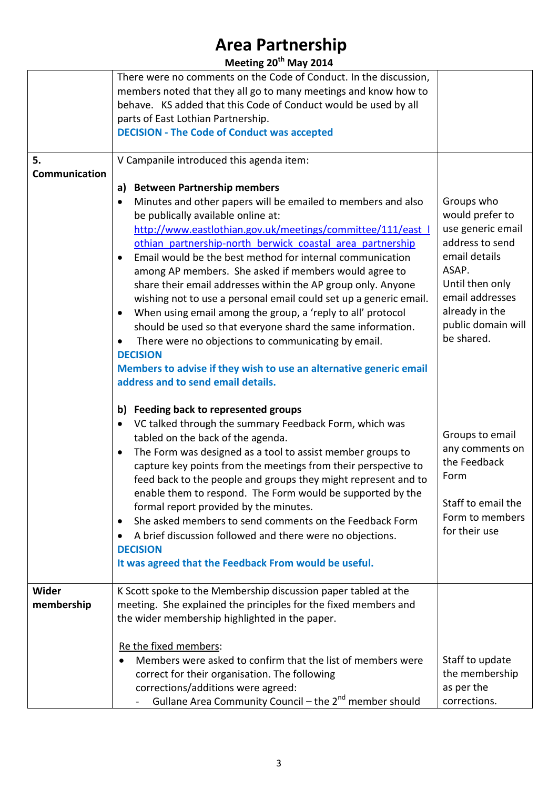| Meeting 20 <sup>th</sup> May 2014 |                                                                                                                                                                                                                                                                                                                                                                                                                                                                                                                                                                                                                                                                                                                                                                                                                                                                                                                                      |                                                                                                                                                                                             |
|-----------------------------------|--------------------------------------------------------------------------------------------------------------------------------------------------------------------------------------------------------------------------------------------------------------------------------------------------------------------------------------------------------------------------------------------------------------------------------------------------------------------------------------------------------------------------------------------------------------------------------------------------------------------------------------------------------------------------------------------------------------------------------------------------------------------------------------------------------------------------------------------------------------------------------------------------------------------------------------|---------------------------------------------------------------------------------------------------------------------------------------------------------------------------------------------|
|                                   | There were no comments on the Code of Conduct. In the discussion,<br>members noted that they all go to many meetings and know how to<br>behave. KS added that this Code of Conduct would be used by all<br>parts of East Lothian Partnership.<br><b>DECISION - The Code of Conduct was accepted</b>                                                                                                                                                                                                                                                                                                                                                                                                                                                                                                                                                                                                                                  |                                                                                                                                                                                             |
| 5.<br>Communication               | V Campanile introduced this agenda item:<br><b>Between Partnership members</b><br>a)<br>Minutes and other papers will be emailed to members and also<br>$\bullet$<br>be publically available online at:<br>http://www.eastlothian.gov.uk/meetings/committee/111/east  <br>othian partnership-north berwick coastal area partnership<br>Email would be the best method for internal communication<br>٠<br>among AP members. She asked if members would agree to<br>share their email addresses within the AP group only. Anyone<br>wishing not to use a personal email could set up a generic email.<br>When using email among the group, a 'reply to all' protocol<br>$\bullet$<br>should be used so that everyone shard the same information.<br>There were no objections to communicating by email.<br><b>DECISION</b><br>Members to advise if they wish to use an alternative generic email<br>address and to send email details. | Groups who<br>would prefer to<br>use generic email<br>address to send<br>email details<br>ASAP.<br>Until then only<br>email addresses<br>already in the<br>public domain will<br>be shared. |
|                                   | b) Feeding back to represented groups<br>VC talked through the summary Feedback Form, which was<br>$\bullet$<br>tabled on the back of the agenda.<br>The Form was designed as a tool to assist member groups to<br>capture key points from the meetings from their perspective to<br>feed back to the people and groups they might represent and to<br>enable them to respond. The Form would be supported by the<br>formal report provided by the minutes.<br>She asked members to send comments on the Feedback Form<br>$\bullet$<br>A brief discussion followed and there were no objections.<br>٠<br><b>DECISION</b><br>It was agreed that the Feedback From would be useful.                                                                                                                                                                                                                                                    | Groups to email<br>any comments on<br>the Feedback<br>Form<br>Staff to email the<br>Form to members<br>for their use                                                                        |
| Wider<br>membership               | K Scott spoke to the Membership discussion paper tabled at the<br>meeting. She explained the principles for the fixed members and<br>the wider membership highlighted in the paper.<br>Re the fixed members:<br>Members were asked to confirm that the list of members were<br>correct for their organisation. The following<br>corrections/additions were agreed:<br>Gullane Area Community Council - the 2 <sup>nd</sup> member should                                                                                                                                                                                                                                                                                                                                                                                                                                                                                             | Staff to update<br>the membership<br>as per the<br>corrections.                                                                                                                             |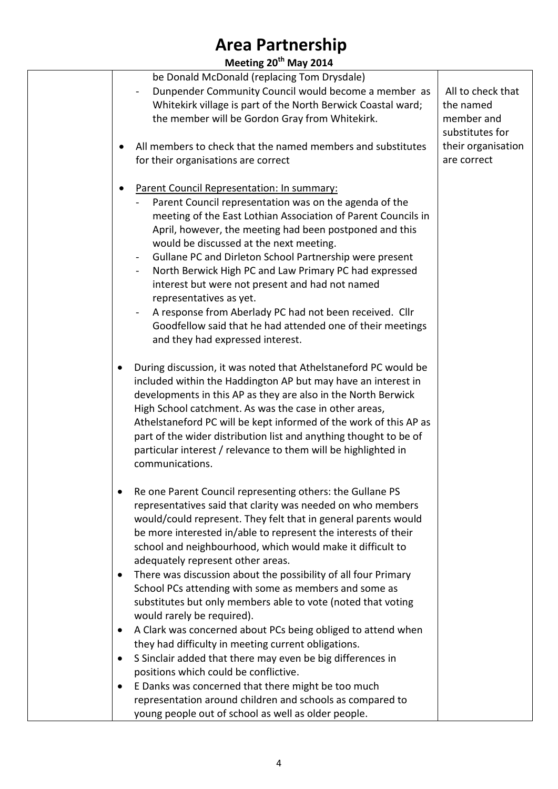**Meeting 20th May 2014**

| be Donald McDonald (replacing Tom Drysdale)                              |                    |
|--------------------------------------------------------------------------|--------------------|
| Dunpender Community Council would become a member as                     | All to check that  |
| Whitekirk village is part of the North Berwick Coastal ward;             | the named          |
| the member will be Gordon Gray from Whitekirk.                           | member and         |
|                                                                          | substitutes for    |
| All members to check that the named members and substitutes              | their organisation |
| for their organisations are correct                                      | are correct        |
|                                                                          |                    |
|                                                                          |                    |
| Parent Council Representation: In summary:                               |                    |
| Parent Council representation was on the agenda of the                   |                    |
| meeting of the East Lothian Association of Parent Councils in            |                    |
| April, however, the meeting had been postponed and this                  |                    |
| would be discussed at the next meeting.                                  |                    |
| Gullane PC and Dirleton School Partnership were present                  |                    |
| North Berwick High PC and Law Primary PC had expressed<br>$\blacksquare$ |                    |
| interest but were not present and had not named                          |                    |
| representatives as yet.                                                  |                    |
| A response from Aberlady PC had not been received. Cllr                  |                    |
| Goodfellow said that he had attended one of their meetings               |                    |
| and they had expressed interest.                                         |                    |
|                                                                          |                    |
| During discussion, it was noted that Athelstaneford PC would be          |                    |
| included within the Haddington AP but may have an interest in            |                    |
| developments in this AP as they are also in the North Berwick            |                    |
| High School catchment. As was the case in other areas,                   |                    |
| Athelstaneford PC will be kept informed of the work of this AP as        |                    |
| part of the wider distribution list and anything thought to be of        |                    |
| particular interest / relevance to them will be highlighted in           |                    |
| communications.                                                          |                    |
|                                                                          |                    |
| Re one Parent Council representing others: the Gullane PS<br>٠           |                    |
| representatives said that clarity was needed on who members              |                    |
| would/could represent. They felt that in general parents would           |                    |
| be more interested in/able to represent the interests of their           |                    |
| school and neighbourhood, which would make it difficult to               |                    |
| adequately represent other areas.                                        |                    |
| There was discussion about the possibility of all four Primary<br>٠      |                    |
| School PCs attending with some as members and some as                    |                    |
| substitutes but only members able to vote (noted that voting             |                    |
| would rarely be required).                                               |                    |
| A Clark was concerned about PCs being obliged to attend when             |                    |
| they had difficulty in meeting current obligations.                      |                    |
| S Sinclair added that there may even be big differences in               |                    |
| positions which could be conflictive.                                    |                    |
| E Danks was concerned that there might be too much<br>$\bullet$          |                    |
| representation around children and schools as compared to                |                    |
| young people out of school as well as older people.                      |                    |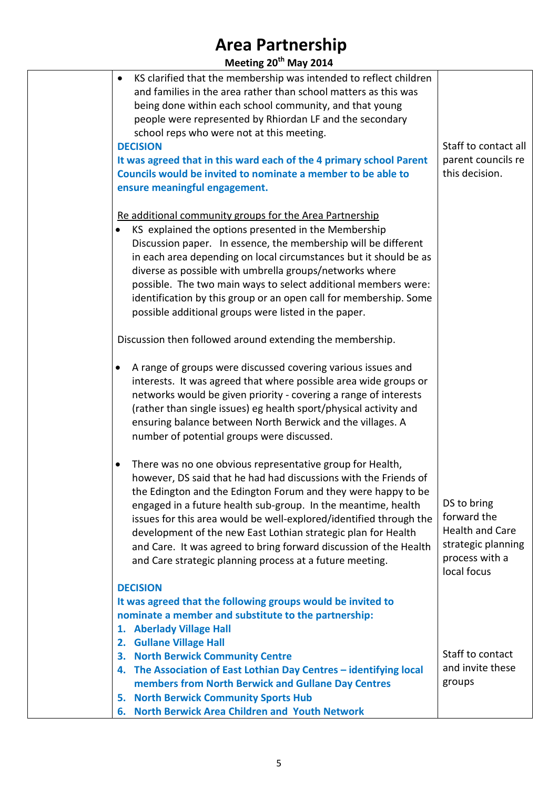| Meeting 20 <sup>th</sup> May 2014 |  |  |
|-----------------------------------|--|--|
|-----------------------------------|--|--|

| $m$ ccung $\epsilon v$ <i>way</i> $\epsilon v$                                                                                                                                                                                                                                                                                                                                                                                                                                                                                                                                                     |                                                                                                             |
|----------------------------------------------------------------------------------------------------------------------------------------------------------------------------------------------------------------------------------------------------------------------------------------------------------------------------------------------------------------------------------------------------------------------------------------------------------------------------------------------------------------------------------------------------------------------------------------------------|-------------------------------------------------------------------------------------------------------------|
| KS clarified that the membership was intended to reflect children<br>٠<br>and families in the area rather than school matters as this was<br>being done within each school community, and that young<br>people were represented by Rhiordan LF and the secondary<br>school reps who were not at this meeting.<br><b>DECISION</b><br>It was agreed that in this ward each of the 4 primary school Parent<br>Councils would be invited to nominate a member to be able to<br>ensure meaningful engagement.                                                                                           | Staff to contact all<br>parent councils re<br>this decision.                                                |
| Re additional community groups for the Area Partnership<br>KS explained the options presented in the Membership<br>Discussion paper. In essence, the membership will be different<br>in each area depending on local circumstances but it should be as<br>diverse as possible with umbrella groups/networks where<br>possible. The two main ways to select additional members were:<br>identification by this group or an open call for membership. Some<br>possible additional groups were listed in the paper.                                                                                   |                                                                                                             |
| Discussion then followed around extending the membership.<br>A range of groups were discussed covering various issues and<br>interests. It was agreed that where possible area wide groups or<br>networks would be given priority - covering a range of interests<br>(rather than single issues) eg health sport/physical activity and<br>ensuring balance between North Berwick and the villages. A                                                                                                                                                                                               |                                                                                                             |
| number of potential groups were discussed.<br>There was no one obvious representative group for Health,<br>$\bullet$<br>however, DS said that he had had discussions with the Friends of<br>the Edington and the Edington Forum and they were happy to be<br>engaged in a future health sub-group. In the meantime, health<br>issues for this area would be well-explored/identified through the<br>development of the new East Lothian strategic plan for Health<br>and Care. It was agreed to bring forward discussion of the Health<br>and Care strategic planning process at a future meeting. | DS to bring<br>forward the<br><b>Health and Care</b><br>strategic planning<br>process with a<br>local focus |
| <b>DECISION</b><br>It was agreed that the following groups would be invited to<br>nominate a member and substitute to the partnership:<br>1. Aberlady Village Hall<br>2. Gullane Village Hall<br>3. North Berwick Community Centre<br>4. The Association of East Lothian Day Centres - identifying local<br>members from North Berwick and Gullane Day Centres<br><b>North Berwick Community Sports Hub</b><br>5.<br><b>North Berwick Area Children and Youth Network</b><br>6.                                                                                                                    | Staff to contact<br>and invite these<br>groups                                                              |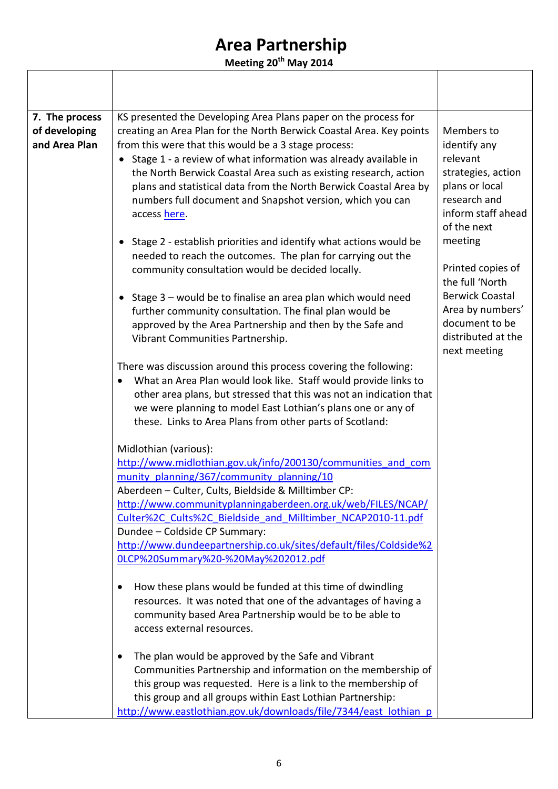**Meeting 20th May 2014**

| 7. The process                 | KS presented the Developing Area Plans paper on the process for                                                                                                                                                                                                                                                                                                                                                                                                                                |                                                                                                                                                |
|--------------------------------|------------------------------------------------------------------------------------------------------------------------------------------------------------------------------------------------------------------------------------------------------------------------------------------------------------------------------------------------------------------------------------------------------------------------------------------------------------------------------------------------|------------------------------------------------------------------------------------------------------------------------------------------------|
| of developing<br>and Area Plan | creating an Area Plan for the North Berwick Coastal Area. Key points<br>from this were that this would be a 3 stage process:<br>• Stage 1 - a review of what information was already available in<br>the North Berwick Coastal Area such as existing research, action<br>plans and statistical data from the North Berwick Coastal Area by<br>numbers full document and Snapshot version, which you can<br>access here.<br>• Stage 2 - establish priorities and identify what actions would be | Members to<br>identify any<br>relevant<br>strategies, action<br>plans or local<br>research and<br>inform staff ahead<br>of the next<br>meeting |
|                                | needed to reach the outcomes. The plan for carrying out the<br>community consultation would be decided locally.                                                                                                                                                                                                                                                                                                                                                                                | Printed copies of<br>the full 'North                                                                                                           |
|                                | • Stage 3 - would be to finalise an area plan which would need<br>further community consultation. The final plan would be<br>approved by the Area Partnership and then by the Safe and<br>Vibrant Communities Partnership.                                                                                                                                                                                                                                                                     | <b>Berwick Coastal</b><br>Area by numbers'<br>document to be<br>distributed at the<br>next meeting                                             |
|                                | There was discussion around this process covering the following:<br>What an Area Plan would look like. Staff would provide links to<br>other area plans, but stressed that this was not an indication that<br>we were planning to model East Lothian's plans one or any of<br>these. Links to Area Plans from other parts of Scotland:                                                                                                                                                         |                                                                                                                                                |
|                                | Midlothian (various):                                                                                                                                                                                                                                                                                                                                                                                                                                                                          |                                                                                                                                                |
|                                | http://www.midlothian.gov.uk/info/200130/communities and com<br>munity planning/367/community planning/10<br>Aberdeen - Culter, Cults, Bieldside & Milltimber CP:                                                                                                                                                                                                                                                                                                                              |                                                                                                                                                |
|                                | http://www.communityplanningaberdeen.org.uk/web/FILES/NCAP/<br>Culter%2C Cults%2C Bieldside and Milltimber NCAP2010-11.pdf<br>Dundee - Coldside CP Summary:                                                                                                                                                                                                                                                                                                                                    |                                                                                                                                                |
|                                | http://www.dundeepartnership.co.uk/sites/default/files/Coldside%2<br>0LCP%20Summary%20-%20May%202012.pdf                                                                                                                                                                                                                                                                                                                                                                                       |                                                                                                                                                |
|                                | How these plans would be funded at this time of dwindling<br>$\bullet$<br>resources. It was noted that one of the advantages of having a<br>community based Area Partnership would be to be able to<br>access external resources.                                                                                                                                                                                                                                                              |                                                                                                                                                |
|                                | The plan would be approved by the Safe and Vibrant<br>$\bullet$<br>Communities Partnership and information on the membership of<br>this group was requested. Here is a link to the membership of<br>this group and all groups within East Lothian Partnership:<br>http://www.eastlothian.gov.uk/downloads/file/7344/east lothian p                                                                                                                                                             |                                                                                                                                                |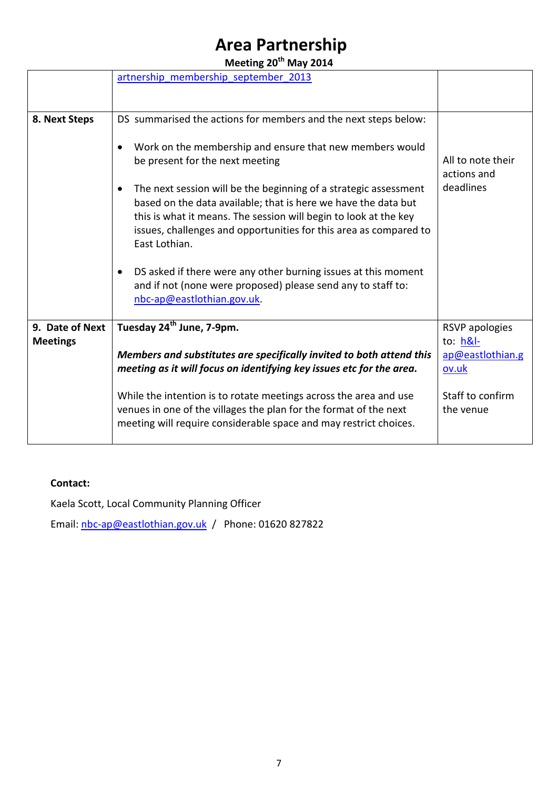**Meeting 20th May 2014**

|                 | artnership membership september 2013                                                                                                                                                                                                                                                         |                                  |
|-----------------|----------------------------------------------------------------------------------------------------------------------------------------------------------------------------------------------------------------------------------------------------------------------------------------------|----------------------------------|
|                 |                                                                                                                                                                                                                                                                                              |                                  |
|                 |                                                                                                                                                                                                                                                                                              |                                  |
| 8. Next Steps   | DS summarised the actions for members and the next steps below:                                                                                                                                                                                                                              |                                  |
|                 | Work on the membership and ensure that new members would<br>be present for the next meeting                                                                                                                                                                                                  | All to note their<br>actions and |
|                 | The next session will be the beginning of a strategic assessment<br>based on the data available; that is here we have the data but<br>this is what it means. The session will begin to look at the key<br>issues, challenges and opportunities for this area as compared to<br>East Lothian. | deadlines                        |
|                 | DS asked if there were any other burning issues at this moment<br>$\bullet$<br>and if not (none were proposed) please send any to staff to:<br>nbc-ap@eastlothian.gov.uk.                                                                                                                    |                                  |
| 9. Date of Next | Tuesday 24 <sup>th</sup> June, 7-9pm.                                                                                                                                                                                                                                                        | <b>RSVP</b> apologies            |
| <b>Meetings</b> |                                                                                                                                                                                                                                                                                              | to: $h&l$ -                      |
|                 | Members and substitutes are specifically invited to both attend this                                                                                                                                                                                                                         | ap@eastlothian.g                 |
|                 | meeting as it will focus on identifying key issues etc for the area.                                                                                                                                                                                                                         | ov.uk                            |
|                 | While the intention is to rotate meetings across the area and use<br>venues in one of the villages the plan for the format of the next<br>meeting will require considerable space and may restrict choices.                                                                                  | Staff to confirm<br>the venue    |

#### **Contact:**

Kaela Scott, Local Community Planning Officer

Email: [nbc-ap@eastlothian.gov.uk](mailto:nbc-ap@eastlothian.gov.uk) / Phone: 01620 827822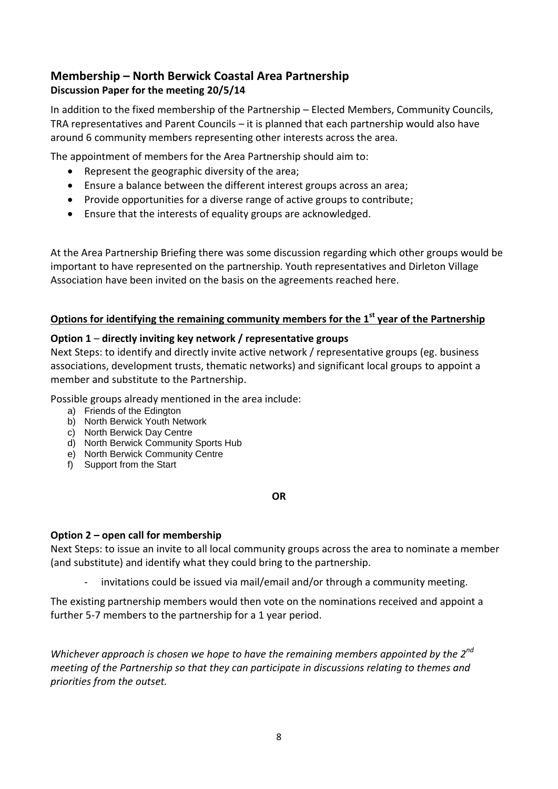### **Membership – North Berwick Coastal Area Partnership Discussion Paper for the meeting 20/5/14**

In addition to the fixed membership of the Partnership – Elected Members, Community Councils, TRA representatives and Parent Councils – it is planned that each partnership would also have around 6 community members representing other interests across the area.

The appointment of members for the Area Partnership should aim to:

- Represent the geographic diversity of the area;
- Ensure a balance between the different interest groups across an area;
- Provide opportunities for a diverse range of active groups to contribute;
- Ensure that the interests of equality groups are acknowledged.

At the Area Partnership Briefing there was some discussion regarding which other groups would be important to have represented on the partnership. Youth representatives and Dirleton Village Association have been invited on the basis on the agreements reached here.

#### **Options for identifying the remaining community members for the 1st year of the Partnership**

#### **Option 1** – **directly inviting key network / representative groups**

Next Steps: to identify and directly invite active network / representative groups (eg. business associations, development trusts, thematic networks) and significant local groups to appoint a member and substitute to the Partnership.

Possible groups already mentioned in the area include:

- a) Friends of the Edington
- b) North Berwick Youth Network
- c) North Berwick Day Centre
- d) North Berwick Community Sports Hub
- e) North Berwick Community Centre
- f) Support from the Start

#### **OR**

#### **Option 2 – open call for membership**

Next Steps: to issue an invite to all local community groups across the area to nominate a member (and substitute) and identify what they could bring to the partnership.

invitations could be issued via mail/email and/or through a community meeting.

The existing partnership members would then vote on the nominations received and appoint a further 5-7 members to the partnership for a 1 year period.

*Whichever approach is chosen we hope to have the remaining members appointed by the 2nd meeting of the Partnership so that they can participate in discussions relating to themes and priorities from the outset.*